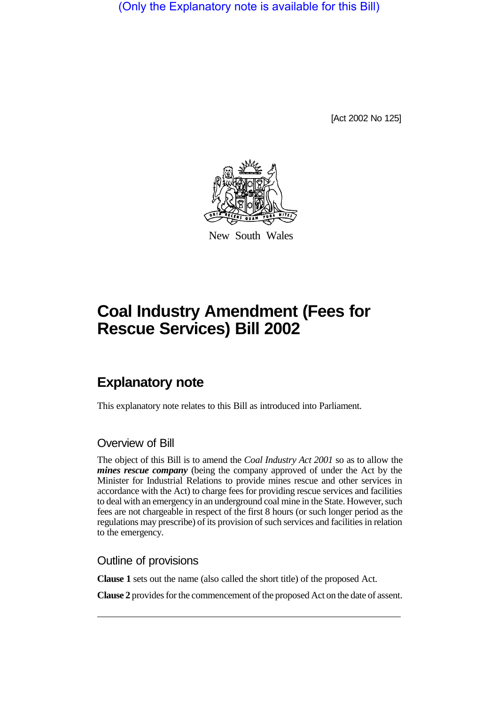(Only the Explanatory note is available for this Bill)

[Act 2002 No 125]



New South Wales

# **Coal Industry Amendment (Fees for Rescue Services) Bill 2002**

## **Explanatory note**

This explanatory note relates to this Bill as introduced into Parliament.

#### Overview of Bill

The object of this Bill is to amend the *Coal Industry Act 2001* so as to allow the *mines rescue company* (being the company approved of under the Act by the Minister for Industrial Relations to provide mines rescue and other services in accordance with the Act) to charge fees for providing rescue services and facilities to deal with an emergency in an underground coal mine in the State. However, such fees are not chargeable in respect of the first 8 hours (or such longer period as the regulations may prescribe) of its provision of such services and facilities in relation to the emergency.

#### Outline of provisions

**Clause 1** sets out the name (also called the short title) of the proposed Act.

**Clause 2** provides for the commencement of the proposed Act on the date of assent.